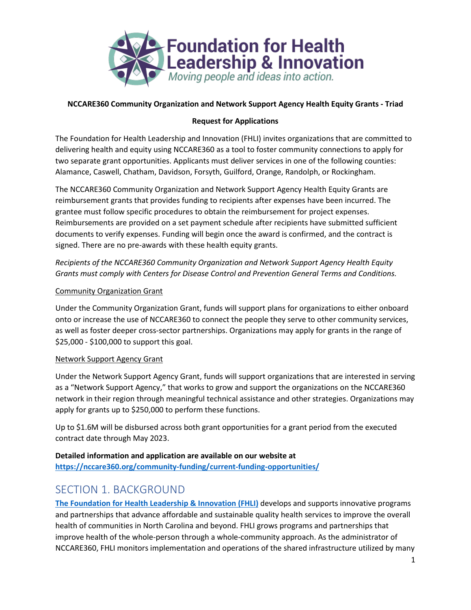

## **NCCARE360 Community Organization and Network Support Agency Health Equity Grants - Triad**

## **Request for Applications**

The Foundation for Health Leadership and Innovation (FHLI) invites organizations that are committed to delivering health and equity using NCCARE360 as a tool to foster community connections to apply for two separate grant opportunities. Applicants must deliver services in one of the following counties: Alamance, Caswell, Chatham, Davidson, Forsyth, Guilford, Orange, Randolph, or Rockingham.

The NCCARE360 Community Organization and Network Support Agency Health Equity Grants are reimbursement grants that provides funding to recipients after expenses have been incurred. The grantee must follow specific procedures to obtain the reimbursement for project expenses. Reimbursements are provided on a set payment schedule after recipients have submitted sufficient documents to verify expenses. Funding will begin once the award is confirmed, and the contract is signed. There are no pre-awards with these health equity grants.

*Recipients of the NCCARE360 Community Organization and Network Support Agency Health Equity Grants must comply with Centers for Disease Control and Prevention General Terms and Conditions.*

### Community Organization Grant

Under the Community Organization Grant, funds will support plans for organizations to either onboard onto or increase the use of NCCARE360 to connect the people they serve to other community services, as well as foster deeper cross-sector partnerships. Organizations may apply for grants in the range of \$25,000 - \$100,000 to support this goal.

#### Network Support Agency Grant

Under the Network Support Agency Grant, funds will support organizations that are interested in serving as a "Network Support Agency," that works to grow and support the organizations on the NCCARE360 network in their region through meaningful technical assistance and other strategies. Organizations may apply for grants up to \$250,000 to perform these functions.

Up to \$1.6M will be disbursed across both grant opportunities for a grant period from the executed contract date through May 2023.

**Detailed information and application are available on our website at <https://nccare360.org/community-funding/current-funding-opportunities/>**

# SECTION 1. BACKGROUND

**[The Foundation for Health Leadership & Innovation \(FHLI\)](http://www.foundationhli.org/)** develops and supports innovative programs and partnerships that advance affordable and sustainable quality health services to improve the overall health of communities in North Carolina and beyond. FHLI grows programs and partnerships that improve health of the whole-person through a whole-community approach. As the administrator of NCCARE360, FHLI monitors implementation and operations of the shared infrastructure utilized by many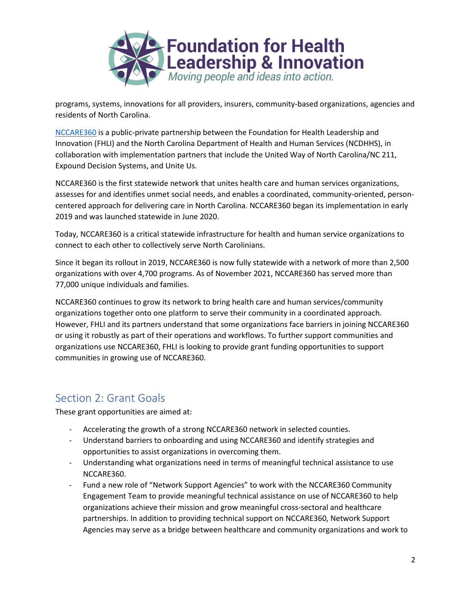

programs, systems, innovations for all providers, insurers, community-based organizations, agencies and residents of North Carolina.

[NCCARE360](http://www.nccare360.org/) is a public-private partnership between the Foundation for Health Leadership and Innovation (FHLI) and the North Carolina Department of Health and Human Services (NCDHHS), in collaboration with implementation partners that include the United Way of North Carolina/NC 211, Expound Decision Systems, and Unite Us.

NCCARE360 is the first statewide network that unites health care and human services organizations, assesses for and identifies unmet social needs, and enables a coordinated, community-oriented, personcentered approach for delivering care in North Carolina. NCCARE360 began its implementation in early 2019 and was launched statewide in June 2020.

Today, NCCARE360 is a critical statewide infrastructure for health and human service organizations to connect to each other to collectively serve North Carolinians.

Since it began its rollout in 2019, NCCARE360 is now fully statewide with a network of more than 2,500 organizations with over 4,700 programs. As of November 2021, NCCARE360 has served more than 77,000 unique individuals and families.

NCCARE360 continues to grow its network to bring health care and human services/community organizations together onto one platform to serve their community in a coordinated approach. However, FHLI and its partners understand that some organizations face barriers in joining NCCARE360 or using it robustly as part of their operations and workflows. To further support communities and organizations use NCCARE360, FHLI is looking to provide grant funding opportunities to support communities in growing use of NCCARE360.

# Section 2: Grant Goals

These grant opportunities are aimed at:

- Accelerating the growth of a strong NCCARE360 network in selected counties.
- Understand barriers to onboarding and using NCCARE360 and identify strategies and opportunities to assist organizations in overcoming them.
- Understanding what organizations need in terms of meaningful technical assistance to use NCCARE360.
- Fund a new role of "Network Support Agencies" to work with the NCCARE360 Community Engagement Team to provide meaningful technical assistance on use of NCCARE360 to help organizations achieve their mission and grow meaningful cross-sectoral and healthcare partnerships. In addition to providing technical support on NCCARE360, Network Support Agencies may serve as a bridge between healthcare and community organizations and work to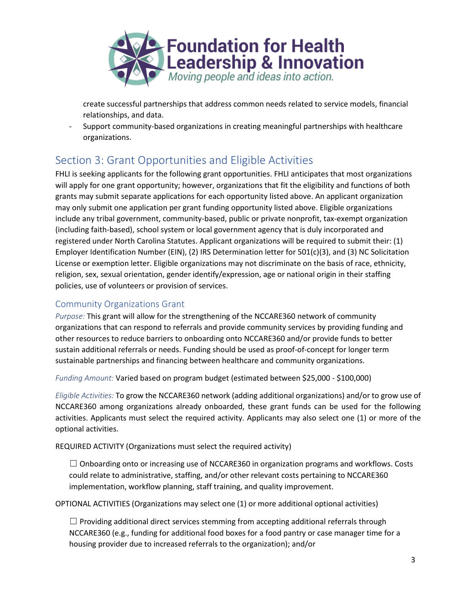

create successful partnerships that address common needs related to service models, financial relationships, and data.

- Support community-based organizations in creating meaningful partnerships with healthcare organizations.

# Section 3: Grant Opportunities and Eligible Activities

FHLI is seeking applicants for the following grant opportunities. FHLI anticipates that most organizations will apply for one grant opportunity; however, organizations that fit the eligibility and functions of both grants may submit separate applications for each opportunity listed above. An applicant organization may only submit one application per grant funding opportunity listed above. Eligible organizations include any tribal government, community-based, public or private nonprofit, tax-exempt organization (including faith-based), school system or local government agency that is duly incorporated and registered under North Carolina Statutes. Applicant organizations will be required to submit their: (1) Employer Identification Number (EIN), (2) IRS Determination letter for 501(c)(3), and (3) NC Solicitation License or exemption letter. Eligible organizations may not discriminate on the basis of race, ethnicity, religion, sex, sexual orientation, gender identify/expression, age or national origin in their staffing policies, use of volunteers or provision of services.

# Community Organizations Grant

*Purpose:* This grant will allow for the strengthening of the NCCARE360 network of community organizations that can respond to referrals and provide community services by providing funding and other resources to reduce barriers to onboarding onto NCCARE360 and/or provide funds to better sustain additional referrals or needs. Funding should be used as proof-of-concept for longer term sustainable partnerships and financing between healthcare and community organizations.

*Funding Amount:* Varied based on program budget (estimated between \$25,000 - \$100,000)

*Eligible Activities:* To grow the NCCARE360 network (adding additional organizations) and/or to grow use of NCCARE360 among organizations already onboarded, these grant funds can be used for the following activities. Applicants must select the required activity. Applicants may also select one (1) or more of the optional activities.

REQUIRED ACTIVITY (Organizations must select the required activity)

 $\Box$  Onboarding onto or increasing use of NCCARE360 in organization programs and workflows. Costs could relate to administrative, staffing, and/or other relevant costs pertaining to NCCARE360 implementation, workflow planning, staff training, and quality improvement.

OPTIONAL ACTIVITIES (Organizations may select one (1) or more additional optional activities)

 $\Box$  Providing additional direct services stemming from accepting additional referrals through NCCARE360 (e.g., funding for additional food boxes for a food pantry or case manager time for a housing provider due to increased referrals to the organization); and/or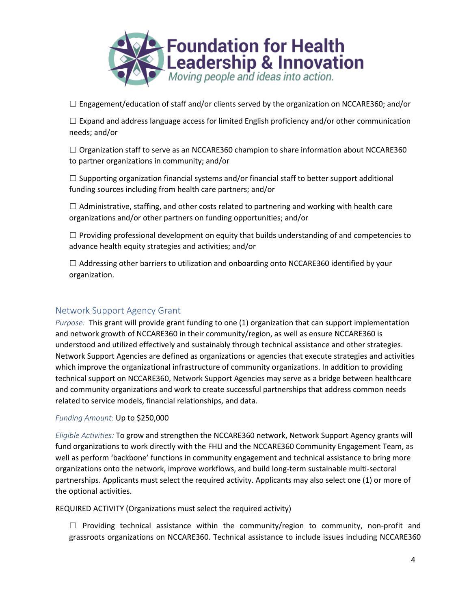

 $\Box$  Engagement/education of staff and/or clients served by the organization on NCCARE360; and/or

☐ Expand and address language access for limited English proficiency and/or other communication needs; and/or

 $\Box$  Organization staff to serve as an NCCARE360 champion to share information about NCCARE360 to partner organizations in community; and/or

 $\Box$  Supporting organization financial systems and/or financial staff to better support additional funding sources including from health care partners; and/or

 $\Box$  Administrative, staffing, and other costs related to partnering and working with health care organizations and/or other partners on funding opportunities; and/or

 $\Box$  Providing professional development on equity that builds understanding of and competencies to advance health equity strategies and activities; and/or

 $\Box$  Addressing other barriers to utilization and onboarding onto NCCARE360 identified by your organization.

# Network Support Agency Grant

*Purpose:* This grant will provide grant funding to one (1) organization that can support implementation and network growth of NCCARE360 in their community/region, as well as ensure NCCARE360 is understood and utilized effectively and sustainably through technical assistance and other strategies. Network Support Agencies are defined as organizations or agencies that execute strategies and activities which improve the organizational infrastructure of community organizations. In addition to providing technical support on NCCARE360, Network Support Agencies may serve as a bridge between healthcare and community organizations and work to create successful partnerships that address common needs related to service models, financial relationships, and data.

### *Funding Amount:* Up to \$250,000

*Eligible Activities:* To grow and strengthen the NCCARE360 network, Network Support Agency grants will fund organizations to work directly with the FHLI and the NCCARE360 Community Engagement Team, as well as perform 'backbone' functions in community engagement and technical assistance to bring more organizations onto the network, improve workflows, and build long-term sustainable multi-sectoral partnerships. Applicants must select the required activity. Applicants may also select one (1) or more of the optional activities.

REQUIRED ACTIVITY (Organizations must select the required activity)

 $\Box$  Providing technical assistance within the community/region to community, non-profit and grassroots organizations on NCCARE360. Technical assistance to include issues including NCCARE360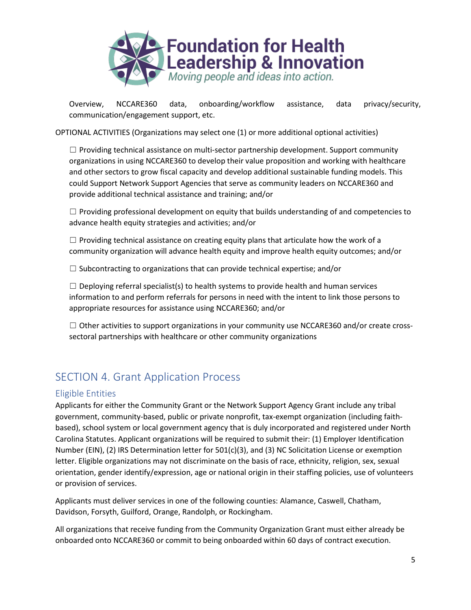

Overview, NCCARE360 data, onboarding/workflow assistance, data privacy/security, communication/engagement support, etc.

OPTIONAL ACTIVITIES (Organizations may select one (1) or more additional optional activities)

 $\Box$  Providing technical assistance on multi-sector partnership development. Support community organizations in using NCCARE360 to develop their value proposition and working with healthcare and other sectors to grow fiscal capacity and develop additional sustainable funding models. This could Support Network Support Agencies that serve as community leaders on NCCARE360 and provide additional technical assistance and training; and/or

 $\Box$  Providing professional development on equity that builds understanding of and competencies to advance health equity strategies and activities; and/or

 $\Box$  Providing technical assistance on creating equity plans that articulate how the work of a community organization will advance health equity and improve health equity outcomes; and/or

 $\Box$  Subcontracting to organizations that can provide technical expertise; and/or

 $\Box$  Deploying referral specialist(s) to health systems to provide health and human services information to and perform referrals for persons in need with the intent to link those persons to appropriate resources for assistance using NCCARE360; and/or

 $\Box$  Other activities to support organizations in your community use NCCARE360 and/or create crosssectoral partnerships with healthcare or other community organizations

# SECTION 4. Grant Application Process

### Eligible Entities

Applicants for either the Community Grant or the Network Support Agency Grant include any tribal government, community-based, public or private nonprofit, tax-exempt organization (including faithbased), school system or local government agency that is duly incorporated and registered under North Carolina Statutes. Applicant organizations will be required to submit their: (1) Employer Identification Number (EIN), (2) IRS Determination letter for 501(c)(3), and (3) NC Solicitation License or exemption letter. Eligible organizations may not discriminate on the basis of race, ethnicity, religion, sex, sexual orientation, gender identify/expression, age or national origin in their staffing policies, use of volunteers or provision of services.

Applicants must deliver services in one of the following counties: Alamance, Caswell, Chatham, Davidson, Forsyth, Guilford, Orange, Randolph, or Rockingham.

All organizations that receive funding from the Community Organization Grant must either already be onboarded onto NCCARE360 or commit to being onboarded within 60 days of contract execution.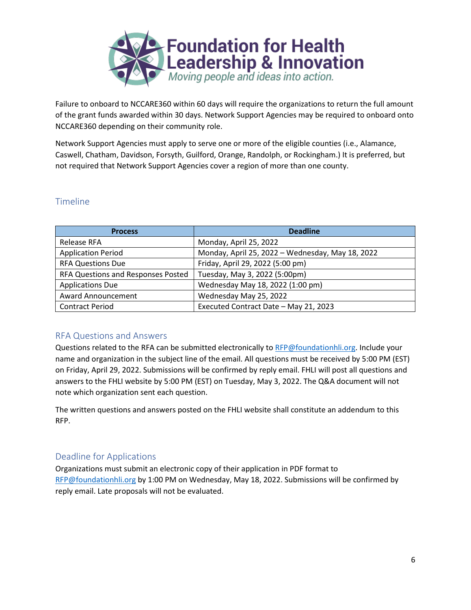

Failure to onboard to NCCARE360 within 60 days will require the organizations to return the full amount of the grant funds awarded within 30 days. Network Support Agencies may be required to onboard onto NCCARE360 depending on their community role.

Network Support Agencies must apply to serve one or more of the eligible counties (i.e., Alamance, Caswell, Chatham, Davidson, Forsyth, Guilford, Orange, Randolph, or Rockingham.) It is preferred, but not required that Network Support Agencies cover a region of more than one county.

# Timeline

| <b>Process</b>                     | <b>Deadline</b>                                  |
|------------------------------------|--------------------------------------------------|
| Release RFA                        | Monday, April 25, 2022                           |
| <b>Application Period</b>          | Monday, April 25, 2022 - Wednesday, May 18, 2022 |
| <b>RFA Questions Due</b>           | Friday, April 29, 2022 (5:00 pm)                 |
| RFA Questions and Responses Posted | Tuesday, May 3, 2022 (5:00pm)                    |
| <b>Applications Due</b>            | Wednesday May 18, 2022 (1:00 pm)                 |
| <b>Award Announcement</b>          | Wednesday May 25, 2022                           |
| <b>Contract Period</b>             | Executed Contract Date - May 21, 2023            |

# RFA Questions and Answers

Questions related to the RFA can be submitted electronically t[o RFP@foundationhli.org.](mailto:RFP@foundationhli.org) Include your name and organization in the subject line of the email. All questions must be received by 5:00 PM (EST) on Friday, April 29, 2022. Submissions will be confirmed by reply email. FHLI will post all questions and answers to the FHLI website by 5:00 PM (EST) on Tuesday, May 3, 2022. The Q&A document will not note which organization sent each question.

The written questions and answers posted on the FHLI website shall constitute an addendum to this RFP.

# Deadline for Applications

Organizations must submit an electronic copy of their application in PDF format to [RFP@foundationhli.org](mailto:RFP@foundationhli.org) by 1:00 PM on Wednesday, May 18, 2022. Submissions will be confirmed by reply email. Late proposals will not be evaluated.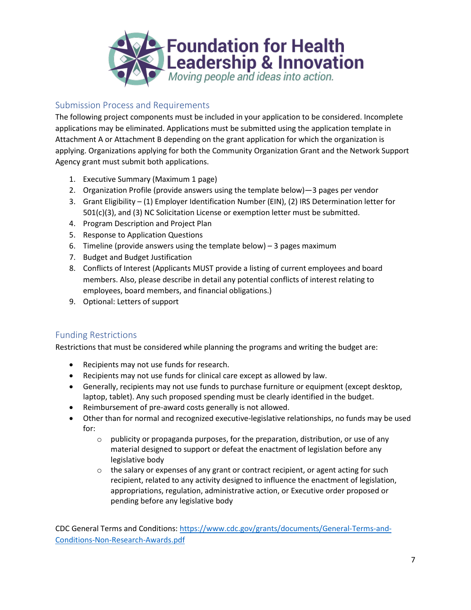

# Submission Process and Requirements

The following project components must be included in your application to be considered. Incomplete applications may be eliminated. Applications must be submitted using the application template in Attachment A or Attachment B depending on the grant application for which the organization is applying. Organizations applying for both the Community Organization Grant and the Network Support Agency grant must submit both applications.

- 1. Executive Summary (Maximum 1 page)
- 2. Organization Profile (provide answers using the template below)—3 pages per vendor
- 3. Grant Eligibility (1) Employer Identification Number (EIN), (2) IRS Determination letter for 501(c)(3), and (3) NC Solicitation License or exemption letter must be submitted.
- 4. Program Description and Project Plan
- 5. Response to Application Questions
- 6. Timeline (provide answers using the template below) 3 pages maximum
- 7. Budget and Budget Justification
- 8. Conflicts of Interest (Applicants MUST provide a listing of current employees and board members. Also, please describe in detail any potential conflicts of interest relating to employees, board members, and financial obligations.)
- 9. Optional: Letters of support

# Funding Restrictions

Restrictions that must be considered while planning the programs and writing the budget are:

- Recipients may not use funds for research.
- Recipients may not use funds for clinical care except as allowed by law.
- Generally, recipients may not use funds to purchase furniture or equipment (except desktop, laptop, tablet). Any such proposed spending must be clearly identified in the budget.
- Reimbursement of pre-award costs generally is not allowed.
- Other than for normal and recognized executive-legislative relationships, no funds may be used for:
	- $\circ$  publicity or propaganda purposes, for the preparation, distribution, or use of any material designed to support or defeat the enactment of legislation before any legislative body
	- $\circ$  the salary or expenses of any grant or contract recipient, or agent acting for such recipient, related to any activity designed to influence the enactment of legislation, appropriations, regulation, administrative action, or Executive order proposed or pending before any legislative body

CDC General Terms and Conditions[: https://www.cdc.gov/grants/documents/General-Terms-and-](https://www.cdc.gov/grants/documents/General-Terms-and-Conditions-Non-Research-Awards.pdf)[Conditions-Non-Research-Awards.pdf](https://www.cdc.gov/grants/documents/General-Terms-and-Conditions-Non-Research-Awards.pdf)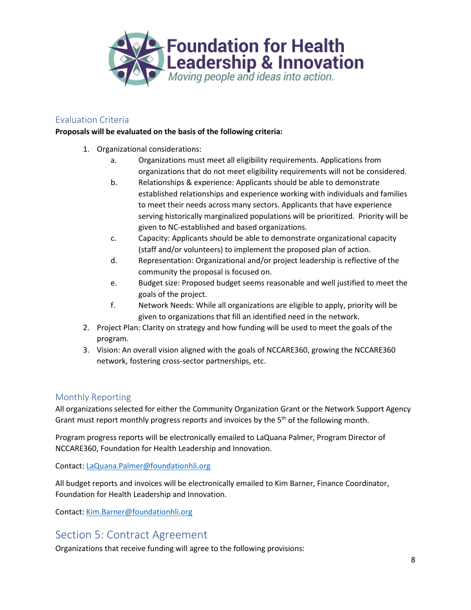

# Evaluation Criteria

#### **Proposals will be evaluated on the basis of the following criteria:**

- 1. Organizational considerations:
	- a. Organizations must meet all eligibility requirements. Applications from organizations that do not meet eligibility requirements will not be considered.
	- b. Relationships & experience: Applicants should be able to demonstrate established relationships and experience working with individuals and families to meet their needs across many sectors. Applicants that have experience serving historically marginalized populations will be prioritized. Priority will be given to NC-established and based organizations.
	- c. Capacity: Applicants should be able to demonstrate organizational capacity (staff and/or volunteers) to implement the proposed plan of action.
	- d. Representation: Organizational and/or project leadership is reflective of the community the proposal is focused on.
	- e. Budget size: Proposed budget seems reasonable and well justified to meet the goals of the project.
	- f. Network Needs: While all organizations are eligible to apply, priority will be given to organizations that fill an identified need in the network.
- 2. Project Plan: Clarity on strategy and how funding will be used to meet the goals of the program.
- 3. Vision: An overall vision aligned with the goals of NCCARE360, growing the NCCARE360 network, fostering cross-sector partnerships, etc.

# Monthly Reporting

All organizations selected for either the Community Organization Grant or the Network Support Agency Grant must report monthly progress reports and invoices by the  $5<sup>th</sup>$  of the following month.

Program progress reports will be electronically emailed to LaQuana Palmer, Program Director of NCCARE360, Foundation for Health Leadership and Innovation.

Contact: [LaQuana.Palmer@foundationhli.org](mailto:LaQuana.Palmer@foundationhli.org)

All budget reports and invoices will be electronically emailed to Kim Barner, Finance Coordinator, Foundation for Health Leadership and Innovation.

Contact: [Kim.Barner@foundationhli.org](mailto:Kim.Barner@foundationhli.org)

# Section 5: Contract Agreement

Organizations that receive funding will agree to the following provisions: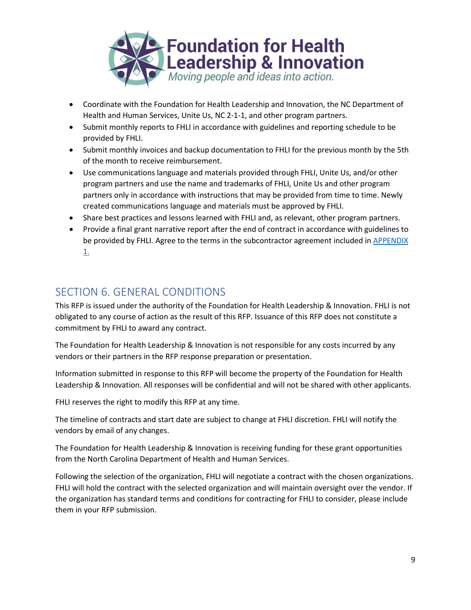

- Coordinate with the Foundation for Health Leadership and Innovation, the NC Department of Health and Human Services, Unite Us, NC 2-1-1, and other program partners.
- Submit monthly reports to FHLI in accordance with guidelines and reporting schedule to be provided by FHLI.
- Submit monthly invoices and backup documentation to FHLI for the previous month by the 5th of the month to receive reimbursement.
- Use communications language and materials provided through FHLI, Unite Us, and/or other program partners and use the name and trademarks of FHLI, Unite Us and other program partners only in accordance with instructions that may be provided from time to time. Newly created communications language and materials must be approved by FHLI.
- Share best practices and lessons learned with FHLI and, as relevant, other program partners.
- Provide a final grant narrative report after the end of contract in accordance with guidelines to be provided by FHLI. Agree to the terms in the subcontractor agreement included in APPENDIX [1.](https://docs.google.com/document/d/1tJ1Zdwok3KPHUmil8NNfL-Q2kObvVY9wR5A7y99CJaI/edit)

# SECTION 6. GENERAL CONDITIONS

This RFP is issued under the authority of the Foundation for Health Leadership & Innovation. FHLI is not obligated to any course of action as the result of this RFP. Issuance of this RFP does not constitute a commitment by FHLI to award any contract.

The Foundation for Health Leadership & Innovation is not responsible for any costs incurred by any vendors or their partners in the RFP response preparation or presentation.

Information submitted in response to this RFP will become the property of the Foundation for Health Leadership & Innovation. All responses will be confidential and will not be shared with other applicants.

FHLI reserves the right to modify this RFP at any time.

The timeline of contracts and start date are subject to change at FHLI discretion. FHLI will notify the vendors by email of any changes.

The Foundation for Health Leadership & Innovation is receiving funding for these grant opportunities from the North Carolina Department of Health and Human Services.

Following the selection of the organization, FHLI will negotiate a contract with the chosen organizations. FHLI will hold the contract with the selected organization and will maintain oversight over the vendor. If the organization has standard terms and conditions for contracting for FHLI to consider, please include them in your RFP submission.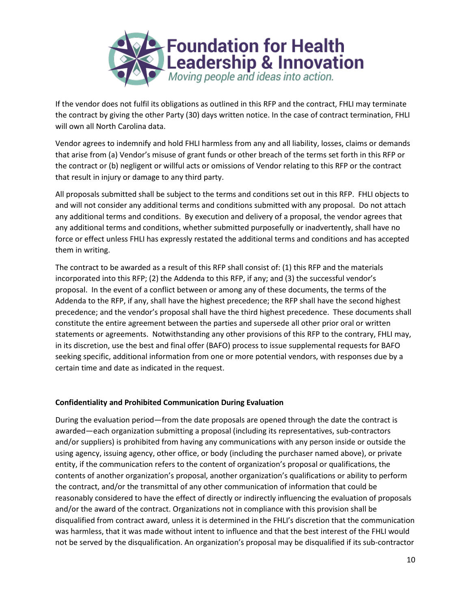

If the vendor does not fulfil its obligations as outlined in this RFP and the contract, FHLI may terminate the contract by giving the other Party (30) days written notice. In the case of contract termination, FHLI will own all North Carolina data.

Vendor agrees to indemnify and hold FHLI harmless from any and all liability, losses, claims or demands that arise from (a) Vendor's misuse of grant funds or other breach of the terms set forth in this RFP or the contract or (b) negligent or willful acts or omissions of Vendor relating to this RFP or the contract that result in injury or damage to any third party.

All proposals submitted shall be subject to the terms and conditions set out in this RFP. FHLI objects to and will not consider any additional terms and conditions submitted with any proposal. Do not attach any additional terms and conditions. By execution and delivery of a proposal, the vendor agrees that any additional terms and conditions, whether submitted purposefully or inadvertently, shall have no force or effect unless FHLI has expressly restated the additional terms and conditions and has accepted them in writing.

The contract to be awarded as a result of this RFP shall consist of: (1) this RFP and the materials incorporated into this RFP; (2) the Addenda to this RFP, if any; and (3) the successful vendor's proposal. In the event of a conflict between or among any of these documents, the terms of the Addenda to the RFP, if any, shall have the highest precedence; the RFP shall have the second highest precedence; and the vendor's proposal shall have the third highest precedence. These documents shall constitute the entire agreement between the parties and supersede all other prior oral or written statements or agreements. Notwithstanding any other provisions of this RFP to the contrary, FHLI may, in its discretion, use the best and final offer (BAFO) process to issue supplemental requests for BAFO seeking specific, additional information from one or more potential vendors, with responses due by a certain time and date as indicated in the request.

#### **Confidentiality and Prohibited Communication During Evaluation**

During the evaluation period—from the date proposals are opened through the date the contract is awarded—each organization submitting a proposal (including its representatives, sub-contractors and/or suppliers) is prohibited from having any communications with any person inside or outside the using agency, issuing agency, other office, or body (including the purchaser named above), or private entity, if the communication refers to the content of organization's proposal or qualifications, the contents of another organization's proposal, another organization's qualifications or ability to perform the contract, and/or the transmittal of any other communication of information that could be reasonably considered to have the effect of directly or indirectly influencing the evaluation of proposals and/or the award of the contract. Organizations not in compliance with this provision shall be disqualified from contract award, unless it is determined in the FHLI's discretion that the communication was harmless, that it was made without intent to influence and that the best interest of the FHLI would not be served by the disqualification. An organization's proposal may be disqualified if its sub-contractor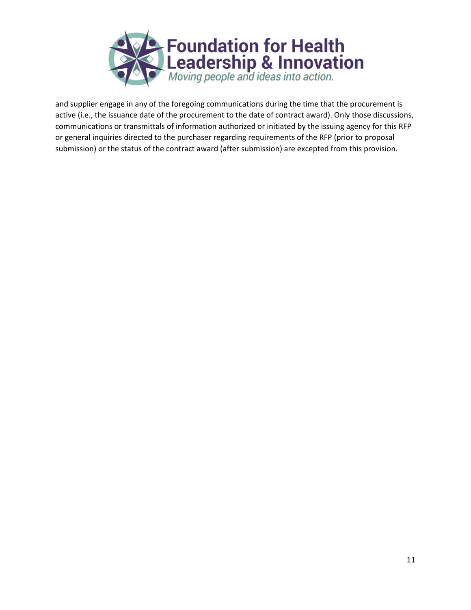

and supplier engage in any of the foregoing communications during the time that the procurement is active (i.e., the issuance date of the procurement to the date of contract award). Only those discussions, communications or transmittals of information authorized or initiated by the issuing agency for this RFP or general inquiries directed to the purchaser regarding requirements of the RFP (prior to proposal submission) or the status of the contract award (after submission) are excepted from this provision.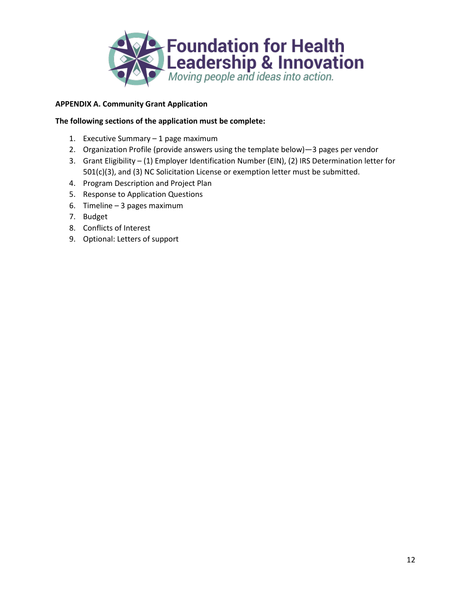

## **APPENDIX A. Community Grant Application**

#### **The following sections of the application must be complete:**

- 1. Executive Summary 1 page maximum
- 2. Organization Profile (provide answers using the template below)—3 pages per vendor
- 3. Grant Eligibility (1) Employer Identification Number (EIN), (2) IRS Determination letter for 501(c)(3), and (3) NC Solicitation License or exemption letter must be submitted.
- 4. Program Description and Project Plan
- 5. Response to Application Questions
- 6. Timeline 3 pages maximum
- 7. Budget
- 8. Conflicts of Interest
- 9. Optional: Letters of support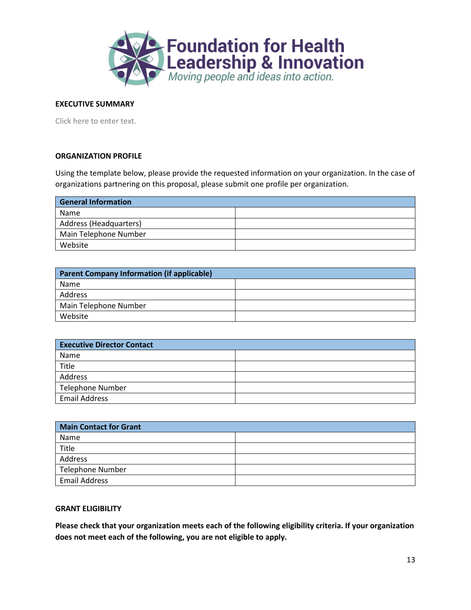

#### **EXECUTIVE SUMMARY**

Click here to enter text.

#### **ORGANIZATION PROFILE**

Using the template below, please provide the requested information on your organization. In the case of organizations partnering on this proposal, please submit one profile per organization.

| <b>General Information</b> |  |
|----------------------------|--|
| Name                       |  |
| Address (Headquarters)     |  |
| Main Telephone Number      |  |
| Website                    |  |

| Parent Company Information (if applicable) |  |
|--------------------------------------------|--|
| Name                                       |  |
| Address                                    |  |
| Main Telephone Number                      |  |
| Website                                    |  |

| <b>Executive Director Contact</b> |  |
|-----------------------------------|--|
| Name                              |  |
| Title                             |  |
| Address                           |  |
| <b>Telephone Number</b>           |  |
| <b>Email Address</b>              |  |

| <b>Main Contact for Grant</b> |  |
|-------------------------------|--|
| Name                          |  |
| Title                         |  |
| Address                       |  |
| <b>Telephone Number</b>       |  |
| <b>Email Address</b>          |  |

#### **GRANT ELIGIBILITY**

**Please check that your organization meets each of the following eligibility criteria. If your organization does not meet each of the following, you are not eligible to apply.**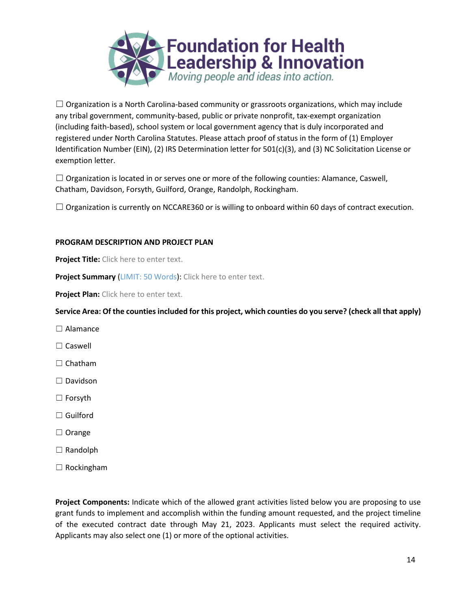

 $\Box$  Organization is a North Carolina-based community or grassroots organizations, which may include any tribal government, community-based, public or private nonprofit, tax-exempt organization (including faith-based), school system or local government agency that is duly incorporated and registered under North Carolina Statutes. Please attach proof of status in the form of (1) Employer Identification Number (EIN), (2) IRS Determination letter for 501(c)(3), and (3) NC Solicitation License or exemption letter.

 $\Box$  Organization is located in or serves one or more of the following counties: Alamance, Caswell, Chatham, Davidson, Forsyth, Guilford, Orange, Randolph, Rockingham.

 $\Box$  Organization is currently on NCCARE360 or is willing to onboard within 60 days of contract execution.

#### **PROGRAM DESCRIPTION AND PROJECT PLAN**

**Project Title:** Click here to enter text.

**Project Summary** (LIMIT: 50 Words): Click here to enter text.

**Project Plan:** Click here to enter text.

**Service Area: Of the counties included for this project, which counties do you serve? (check all that apply)**

- □ Alamance
- □ Caswell
- □ Chatham
- ☐ Davidson
- ☐ Forsyth
- ☐ Guilford
- ☐ Orange
- ☐ Randolph
- $\Box$  Rockingham

**Project Components:** Indicate which of the allowed grant activities listed below you are proposing to use grant funds to implement and accomplish within the funding amount requested, and the project timeline of the executed contract date through May 21, 2023. Applicants must select the required activity. Applicants may also select one (1) or more of the optional activities.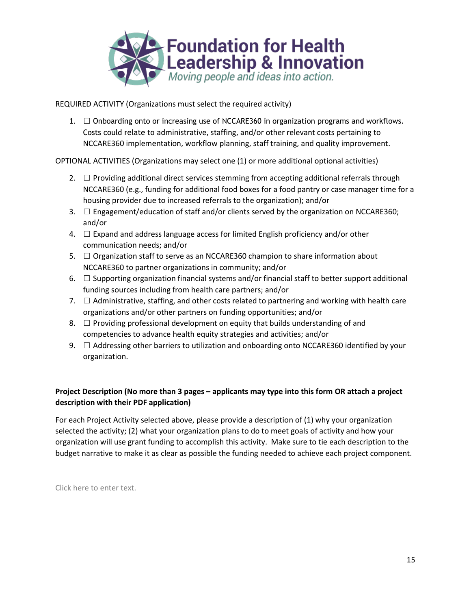

REQUIRED ACTIVITY (Organizations must select the required activity)

1.  $\Box$  Onboarding onto or increasing use of NCCARE360 in organization programs and workflows. Costs could relate to administrative, staffing, and/or other relevant costs pertaining to NCCARE360 implementation, workflow planning, staff training, and quality improvement.

OPTIONAL ACTIVITIES (Organizations may select one (1) or more additional optional activities)

- 2.  $\Box$  Providing additional direct services stemming from accepting additional referrals through NCCARE360 (e.g., funding for additional food boxes for a food pantry or case manager time for a housing provider due to increased referrals to the organization); and/or
- 3.  $\Box$  Engagement/education of staff and/or clients served by the organization on NCCARE360; and/or
- 4.  $\Box$  Expand and address language access for limited English proficiency and/or other communication needs; and/or
- 5.  $\Box$  Organization staff to serve as an NCCARE360 champion to share information about NCCARE360 to partner organizations in community; and/or
- 6.  $\Box$  Supporting organization financial systems and/or financial staff to better support additional funding sources including from health care partners; and/or
- 7.  $\Box$  Administrative, staffing, and other costs related to partnering and working with health care organizations and/or other partners on funding opportunities; and/or
- 8.  $\Box$  Providing professional development on equity that builds understanding of and competencies to advance health equity strategies and activities; and/or
- 9.  $\Box$  Addressing other barriers to utilization and onboarding onto NCCARE360 identified by your organization.

# **Project Description (No more than 3 pages – applicants may type into this form OR attach a project description with their PDF application)**

For each Project Activity selected above, please provide a description of (1) why your organization selected the activity; (2) what your organization plans to do to meet goals of activity and how your organization will use grant funding to accomplish this activity. Make sure to tie each description to the budget narrative to make it as clear as possible the funding needed to achieve each project component.

Click here to enter text.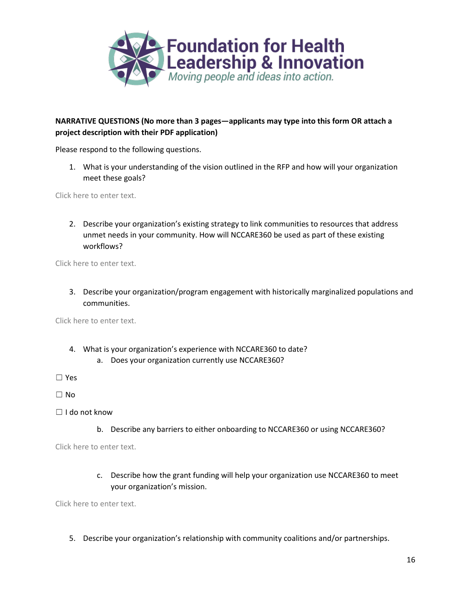

## **NARRATIVE QUESTIONS (No more than 3 pages—applicants may type into this form OR attach a project description with their PDF application)**

Please respond to the following questions.

1. What is your understanding of the vision outlined in the RFP and how will your organization meet these goals?

Click here to enter text.

2. Describe your organization's existing strategy to link communities to resources that address unmet needs in your community. How will NCCARE360 be used as part of these existing workflows?

Click here to enter text.

3. Describe your organization/program engagement with historically marginalized populations and communities.

Click here to enter text.

- 4. What is your organization's experience with NCCARE360 to date?
	- a. Does your organization currently use NCCARE360?

☐ Yes

☐ No

- ☐ I do not know
	- b. Describe any barriers to either onboarding to NCCARE360 or using NCCARE360?

Click here to enter text.

c. Describe how the grant funding will help your organization use NCCARE360 to meet your organization's mission.

Click here to enter text.

5. Describe your organization's relationship with community coalitions and/or partnerships.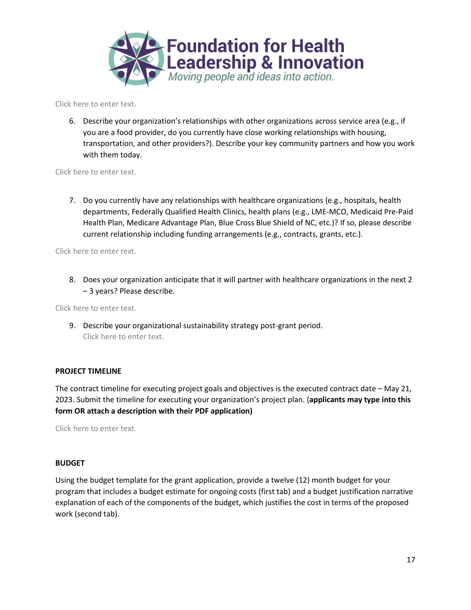

Click here to enter text.

6. Describe your organization's relationships with other organizations across service area (e.g., if you are a food provider, do you currently have close working relationships with housing, transportation, and other providers?). Describe your key community partners and how you work with them today.

Click here to enter text.

7. Do you currently have any relationships with healthcare organizations (e.g., hospitals, health departments, Federally Qualified Health Clinics, health plans (e.g., LME-MCO, Medicaid Pre-Paid Health Plan, Medicare Advantage Plan, Blue Cross Blue Shield of NC, etc.)? If so, please describe current relationship including funding arrangements (e.g., contracts, grants, etc.).

Click here to enter text.

8. Does your organization anticipate that it will partner with healthcare organizations in the next 2 – 3 years? Please describe.

Click here to enter text.

9. Describe your organizational sustainability strategy post-grant period. Click here to enter text.

#### **PROJECT TIMELINE**

The contract timeline for executing project goals and objectives is the executed contract date – May 21, 2023. Submit the timeline for executing your organization's project plan. (**applicants may type into this form OR attach a description with their PDF application)**

Click here to enter text.

#### **BUDGET**

Using the budget template for the grant application, provide a twelve (12) month budget for your program that includes a budget estimate for ongoing costs (first tab) and a budget justification narrative explanation of each of the components of the budget, which justifies the cost in terms of the proposed work (second tab).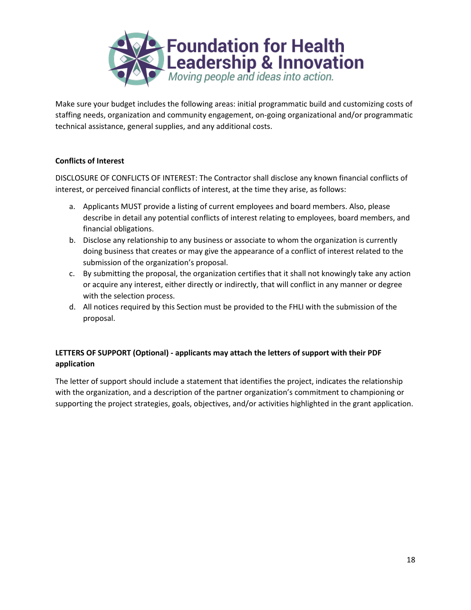

Make sure your budget includes the following areas: initial programmatic build and customizing costs of staffing needs, organization and community engagement, on-going organizational and/or programmatic technical assistance, general supplies, and any additional costs.

### **Conflicts of Interest**

DISCLOSURE OF CONFLICTS OF INTEREST: The Contractor shall disclose any known financial conflicts of interest, or perceived financial conflicts of interest, at the time they arise, as follows:

- a. Applicants MUST provide a listing of current employees and board members. Also, please describe in detail any potential conflicts of interest relating to employees, board members, and financial obligations.
- b. Disclose any relationship to any business or associate to whom the organization is currently doing business that creates or may give the appearance of a conflict of interest related to the submission of the organization's proposal.
- c. By submitting the proposal, the organization certifies that it shall not knowingly take any action or acquire any interest, either directly or indirectly, that will conflict in any manner or degree with the selection process.
- d. All notices required by this Section must be provided to the FHLI with the submission of the proposal.

## **LETTERS OF SUPPORT (Optional) - applicants may attach the letters of support with their PDF application**

The letter of support should include a statement that identifies the project, indicates the relationship with the organization, and a description of the partner organization's commitment to championing or supporting the project strategies, goals, objectives, and/or activities highlighted in the grant application.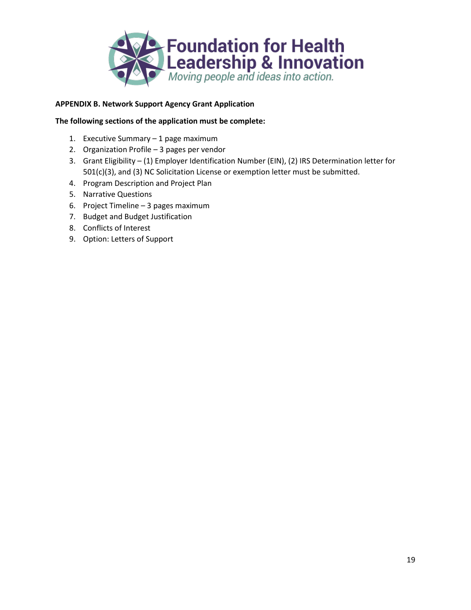

## **APPENDIX B. Network Support Agency Grant Application**

#### **The following sections of the application must be complete:**

- 1. Executive Summary 1 page maximum
- 2. Organization Profile 3 pages per vendor
- 3. Grant Eligibility (1) Employer Identification Number (EIN), (2) IRS Determination letter for 501(c)(3), and (3) NC Solicitation License or exemption letter must be submitted.
- 4. Program Description and Project Plan
- 5. Narrative Questions
- 6. Project Timeline 3 pages maximum
- 7. Budget and Budget Justification
- 8. Conflicts of Interest
- 9. Option: Letters of Support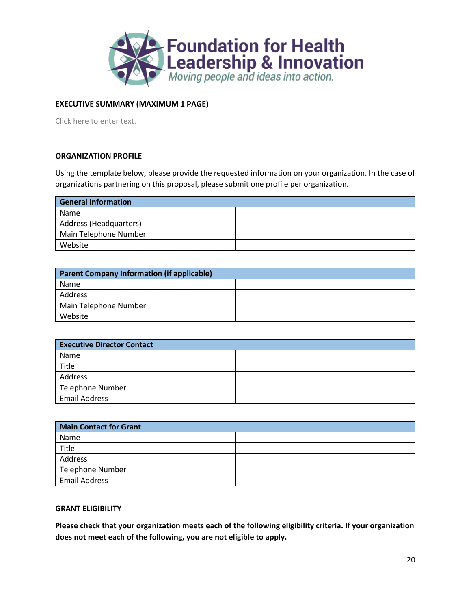

## **EXECUTIVE SUMMARY (MAXIMUM 1 PAGE)**

Click here to enter text.

#### **ORGANIZATION PROFILE**

Using the template below, please provide the requested information on your organization. In the case of organizations partnering on this proposal, please submit one profile per organization.

| <b>General Information</b> |  |
|----------------------------|--|
| Name                       |  |
| Address (Headquarters)     |  |
| Main Telephone Number      |  |
| Website                    |  |

| Parent Company Information (if applicable) |  |
|--------------------------------------------|--|
| Name                                       |  |
| Address                                    |  |
| Main Telephone Number                      |  |
| Website                                    |  |

| <b>Executive Director Contact</b> |  |
|-----------------------------------|--|
| Name                              |  |
| Title                             |  |
| Address                           |  |
| <b>Telephone Number</b>           |  |
| <b>Email Address</b>              |  |

| <b>Main Contact for Grant</b> |  |
|-------------------------------|--|
| Name                          |  |
| Title                         |  |
| Address                       |  |
| <b>Telephone Number</b>       |  |
| <b>Email Address</b>          |  |

#### **GRANT ELIGIBILITY**

**Please check that your organization meets each of the following eligibility criteria. If your organization does not meet each of the following, you are not eligible to apply.**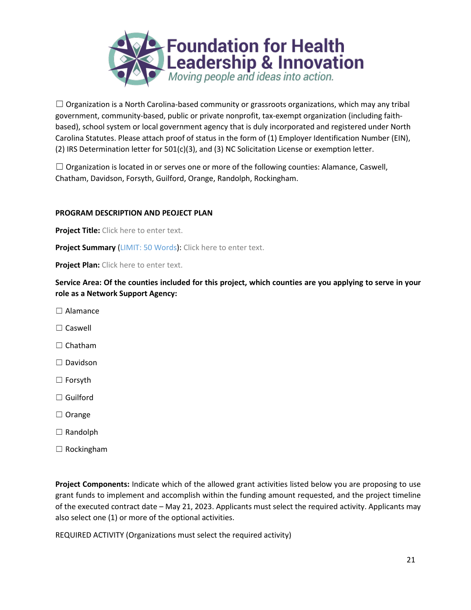

 $\Box$  Organization is a North Carolina-based community or grassroots organizations, which may any tribal government, community-based, public or private nonprofit, tax-exempt organization (including faithbased), school system or local government agency that is duly incorporated and registered under North Carolina Statutes. Please attach proof of status in the form of (1) Employer Identification Number (EIN), (2) IRS Determination letter for 501(c)(3), and (3) NC Solicitation License or exemption letter.

 $\Box$  Organization is located in or serves one or more of the following counties: Alamance, Caswell, Chatham, Davidson, Forsyth, Guilford, Orange, Randolph, Rockingham.

#### **PROGRAM DESCRIPTION AND PEOJECT PLAN**

**Project Title:** Click here to enter text.

**Project Summary (LIMIT: 50 Words): Click here to enter text.** 

**Project Plan:** Click here to enter text.

**Service Area: Of the counties included for this project, which counties are you applying to serve in your role as a Network Support Agency:**

- $\Box$  Alamance
- ☐ Caswell
- □ Chatham
- ☐ Davidson
- ☐ Forsyth
- ☐ Guilford
- ☐ Orange
- ☐ Randolph
- ☐ Rockingham

**Project Components:** Indicate which of the allowed grant activities listed below you are proposing to use grant funds to implement and accomplish within the funding amount requested, and the project timeline of the executed contract date – May 21, 2023. Applicants must select the required activity. Applicants may also select one (1) or more of the optional activities.

REQUIRED ACTIVITY (Organizations must select the required activity)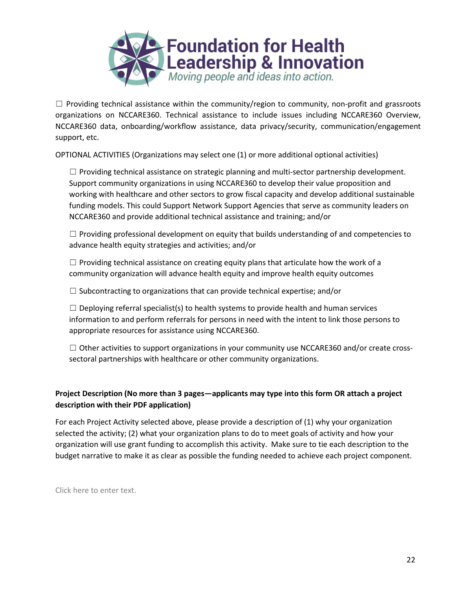

 $\Box$  Providing technical assistance within the community/region to community, non-profit and grassroots organizations on NCCARE360. Technical assistance to include issues including NCCARE360 Overview, NCCARE360 data, onboarding/workflow assistance, data privacy/security, communication/engagement support, etc.

OPTIONAL ACTIVITIES (Organizations may select one (1) or more additional optional activities)

 $\Box$  Providing technical assistance on strategic planning and multi-sector partnership development. Support community organizations in using NCCARE360 to develop their value proposition and working with healthcare and other sectors to grow fiscal capacity and develop additional sustainable funding models. This could Support Network Support Agencies that serve as community leaders on NCCARE360 and provide additional technical assistance and training; and/or

 $\Box$  Providing professional development on equity that builds understanding of and competencies to advance health equity strategies and activities; and/or

 $\Box$  Providing technical assistance on creating equity plans that articulate how the work of a community organization will advance health equity and improve health equity outcomes

 $\Box$  Subcontracting to organizations that can provide technical expertise; and/or

 $\Box$  Deploying referral specialist(s) to health systems to provide health and human services information to and perform referrals for persons in need with the intent to link those persons to appropriate resources for assistance using NCCARE360.

□ Other activities to support organizations in your community use NCCARE360 and/or create crosssectoral partnerships with healthcare or other community organizations.

# **Project Description (No more than 3 pages—applicants may type into this form OR attach a project description with their PDF application)**

For each Project Activity selected above, please provide a description of (1) why your organization selected the activity; (2) what your organization plans to do to meet goals of activity and how your organization will use grant funding to accomplish this activity. Make sure to tie each description to the budget narrative to make it as clear as possible the funding needed to achieve each project component.

Click here to enter text.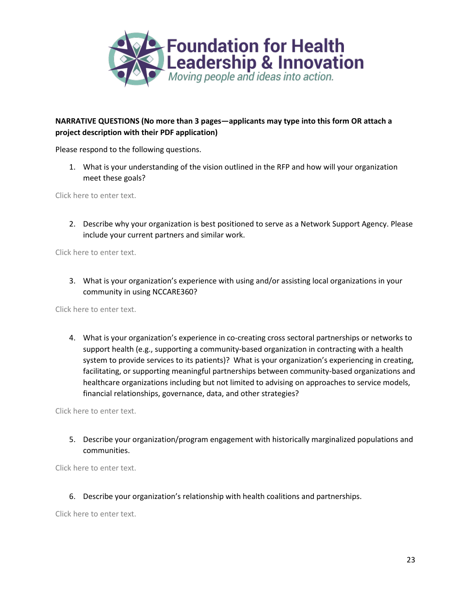

## **NARRATIVE QUESTIONS (No more than 3 pages—applicants may type into this form OR attach a project description with their PDF application)**

Please respond to the following questions.

1. What is your understanding of the vision outlined in the RFP and how will your organization meet these goals?

Click here to enter text.

2. Describe why your organization is best positioned to serve as a Network Support Agency. Please include your current partners and similar work.

Click here to enter text.

3. What is your organization's experience with using and/or assisting local organizations in your community in using NCCARE360?

Click here to enter text.

4. What is your organization's experience in co-creating cross sectoral partnerships or networks to support health (e.g., supporting a community-based organization in contracting with a health system to provide services to its patients)? What is your organization's experiencing in creating, facilitating, or supporting meaningful partnerships between community-based organizations and healthcare organizations including but not limited to advising on approaches to service models, financial relationships, governance, data, and other strategies?

Click here to enter text.

5. Describe your organization/program engagement with historically marginalized populations and communities.

Click here to enter text.

6. Describe your organization's relationship with health coalitions and partnerships.

Click here to enter text.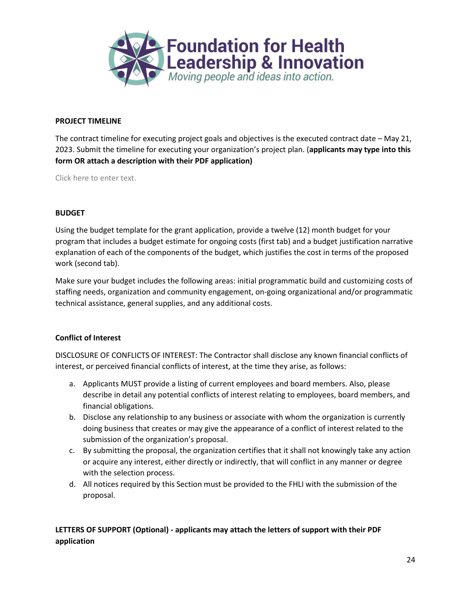

#### **PROJECT TIMELINE**

The contract timeline for executing project goals and objectives is the executed contract date – May 21, 2023. Submit the timeline for executing your organization's project plan. (**applicants may type into this form OR attach a description with their PDF application)**

Click here to enter text.

#### **BUDGET**

Using the budget template for the grant application, provide a twelve (12) month budget for your program that includes a budget estimate for ongoing costs (first tab) and a budget justification narrative explanation of each of the components of the budget, which justifies the cost in terms of the proposed work (second tab).

Make sure your budget includes the following areas: initial programmatic build and customizing costs of staffing needs, organization and community engagement, on-going organizational and/or programmatic technical assistance, general supplies, and any additional costs.

#### **Conflict of Interest**

DISCLOSURE OF CONFLICTS OF INTEREST: The Contractor shall disclose any known financial conflicts of interest, or perceived financial conflicts of interest, at the time they arise, as follows:

- a. Applicants MUST provide a listing of current employees and board members. Also, please describe in detail any potential conflicts of interest relating to employees, board members, and financial obligations.
- b. Disclose any relationship to any business or associate with whom the organization is currently doing business that creates or may give the appearance of a conflict of interest related to the submission of the organization's proposal.
- c. By submitting the proposal, the organization certifies that it shall not knowingly take any action or acquire any interest, either directly or indirectly, that will conflict in any manner or degree with the selection process.
- d. All notices required by this Section must be provided to the FHLI with the submission of the proposal.

# **LETTERS OF SUPPORT (Optional) - applicants may attach the letters of support with their PDF application**